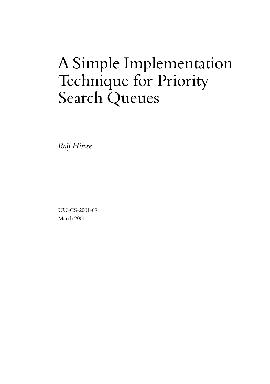# A Simple Implementation Technique for Priority Search Queues

*Ralf Hinze*

UU-CS-2001-09 March 2001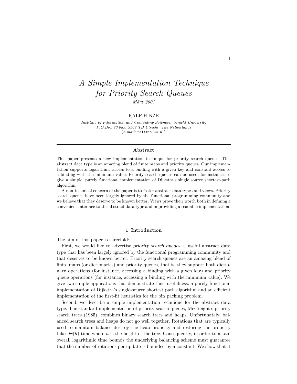# A Simple Implementation Technique for Priority Search Queues März 2001

RALF HINZE

Institute of Information and Computing Sciences, Utrecht University P.O.Box 80.089, 3508 TB Utrecht, The Netherlands (e-mail: ralf@cs.uu.nl)

#### Abstract

This paper presents a new implementation technique for priority search queues. This abstract data type is an amazing blend of finite maps and priority queues. Our implementation supports logarithmic access to a binding with a given key and constant access to a binding with the minimum value. Priority search queues can be used, for instance, to give a simple, purely functional implementation of Dijkstra's single source shortest-path algorithm.

A non-technical concern of the paper is to foster abstract data types and views. Priority search queues have been largely ignored by the functional programming community and we believe that they deserve to be known better. Views prove their worth both in defining a convenient interface to the abstract data type and in providing a readable implementation.

#### 1 Introduction

The aim of this paper is threefold:

First, we would like to advertise priority search queues, a useful abstract data type that has been largely ignored by the functional programming community and that deserves to be known better. Priority search queues are an amazing blend of finite maps (or dictionaries) and priority queues, that is, they support both dictionary operations (for instance, accessing a binding with a given key) and priority queue operations (for instance, accessing a binding with the minimum value). We give two simple applications that demonstrate their usefulness: a purely functional implementation of Dijkstra's single-source shortest path algorithm and an efficient implementation of the first-fit heuristics for the bin packing problem.

Second, we describe a simple implementation technique for the abstract data type. The standard implementation of priority search queues, McCreight's priority search trees (1985), combines binary search trees and heaps. Unfortunately, balanced search trees and heaps do not go well together. Rotations that are typically used to maintain balance destroy the heap property and restoring the property takes  $\Theta(h)$  time where h is the height of the tree. Consequently, in order to attain overall logarithmic time bounds the underlying balancing scheme must guarantee that the number of rotations per update is bounded by a constant. We show that it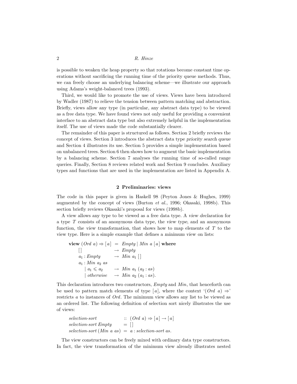is possible to weaken the heap property so that rotations become constant time operations without sacrificing the running time of the priority queue methods. Thus, we can freely choose an underlying balancing scheme—we illustrate our approach using Adams's weight-balanced trees (1993).

Third, we would like to promote the use of views. Views have been introduced by Wadler (1987) to relieve the tension between pattern matching and abstraction. Briefly, views allow any type (in particular, any abstract data type) to be viewed as a free data type. We have found views not only useful for providing a convenient interface to an abstract data type but also extremely helpful in the implementation itself. The use of views made the code substantially clearer.

The remainder of this paper is structured as follows. Section 2 briefly reviews the concept of views. Section 3 introduces the abstract data type priority search queue and Section 4 illustrates its use. Section 5 provides a simple implementation based on unbalanced trees. Section 6 then shows how to augment the basic implementation by a balancing scheme. Section 7 analyses the running time of so-called range queries. Finally, Section 8 reviews related work and Section 9 concludes. Auxiliary types and functions that are used in the implementation are listed in Appendix A.

# 2 Preliminaries: views

The code in this paper is given in Haskell 98 (Peyton Jones & Hughes, 1999) augmented by the concept of views (Burton  $et \ al.$ , 1996; Okasaki, 1998b). This section briefly reviews Okasaki's proposal for views (1998b).

A view allows any type to be viewed as a free data type. A view declaration for a type T consists of an anonymous data type, the view type, and an anonymous function, the view transformation, that shows how to map elements of  $T$  to the view type. Here is a simple example that defines a minimum view on lists:

view  $(Ord\ a)\Rightarrow [a] = Empty \mid Min\ a\ [a]$  where  $[$   $\rightarrow$  Empty  $a_1 : Empty \longrightarrow Min \ a_1 []$  $a_1 : Min \ a_2 \ as$  $| a_1 \leq a_2 \longrightarrow Min \space a_1 \space (a_2 : as)$ | otherwise  $\rightarrow$  Min  $a_2$   $(a_1 : as)$ .

This declaration introduces two constructors, Empty and Min, that henceforth can be used to pattern match elements of type [a], where the context '(Ord a)  $\Rightarrow$ ' restricts a to instances of Ord. The minimum view allows any list to be viewed as an ordered list. The following definition of selection sort nicely illustrates the use of views:

| selection-sort                                       |                  | $\therefore$ $(Ord a) \Rightarrow [a] \rightarrow [a]$ |
|------------------------------------------------------|------------------|--------------------------------------------------------|
| selection-sort Empty                                 | $=$ $\mathbb{H}$ |                                                        |
| selection-sort (Min a as) = $a$ : selection-sort as. |                  |                                                        |

The view constructors can be freely mixed with ordinary data type constructors. In fact, the view transformation of the minimum view already illustrates nested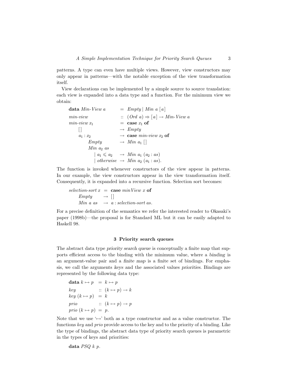patterns. A type can even have multiple views. However, view constructors may only appear in patterns—with the notable exception of the view transformation itself.

View declarations can be implemented by a simple source to source translation: each view is expanded into a data type and a function. For the minimum view we obtain:

| $data$ Min-View $a$    | $=$ Empty   Min a [a]                                           |
|------------------------|-----------------------------------------------------------------|
| $min\text{-}view$      | $\therefore$ (Ord a) $\Rightarrow$ [a] $\rightarrow$ Min-View a |
| $min\text{-}view\ x_1$ | $= \case x_1 \text{ of }$                                       |
|                        | $\rightarrow$ Empty                                             |
| $a_1$ : $x_2$          | $\rightarrow$ case min-view $x_2$ of                            |
| Empty                  | $\rightarrow$ Min a <sub>1</sub>                                |
| $Min$ $a2$ as          |                                                                 |
|                        | $  a_1 \leq a_2 \rightarrow Min \space a_1 \space (a_2 : as)$   |
|                        | otherwise $\rightarrow$ Min $a_2$ $(a_1:as)$ .                  |

The function is invoked whenever constructors of the view appear in patterns. In our example, the view constructors appear in the view transformation itself. Consequently, it is expanded into a recursive function. Selection sort becomes:

selection-sort  $x = \cose minView x$  of  $Empty \longrightarrow []$ Min a as  $\rightarrow a$ : selection-sort as.

For a precise definition of the semantics we refer the interested reader to Okasaki's paper (1998b)—the proposal is for Standard ML but it can be easily adapted to Haskell 98.

# 3 Priority search queues

The abstract data type priority search queue is conceptually a finite map that supports efficient access to the binding with the minimum value, where a binding is an argument-value pair and a finite map is a finite set of bindings. For emphasis, we call the arguments keys and the associated values priorities. Bindings are represented by the following data type:

$$
\begin{array}{lcl} \textbf{data} \ k \mapsto p & = & k \mapsto p \\ \textit{key} & :: & (k \mapsto p) \to k \\ \textit{key} \ (k \mapsto p) & = & k \\ \textit{prio} & :: & (k \mapsto p) \to p \\ \textit{prio} \ (k \mapsto p) & = & p. \end{array}
$$

Note that we use  $\leftrightarrow$ ' both as a type constructor and as a value constructor. The functions key and prio provide access to the key and to the priority of a binding. Like the type of bindings, the abstract data type of priority search queues is parametric in the types of keys and priorities:

data PSQ k p.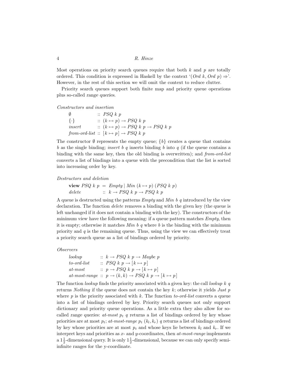Most operations on priority search queues require that both  $k$  and  $p$  are totally ordered. This condition is expressed in Haskell by the context '(Ord k, Ord p)  $\Rightarrow$ '. However, in the rest of this section we will omit the context to reduce clutter.

Priority search queues support both finite map and priority queue operations plus so-called range queries.

Constructors and insertion

 $\emptyset$  ::  $PSQ k p$  $\{\cdot\}$  ::  $(k \mapsto p) \rightarrow PSQ \; k \; p$ insert ::  $(k \mapsto p) \rightarrow PSQ \; k \; p \rightarrow PSQ \; k \; p$ from-ord-list  $:: [k \mapsto p] \rightarrow PSQ k p$ 

The constructor  $\emptyset$  represents the empty queue;  $\{b\}$  creates a queue that contains b as the single binding; insert b q inserts binding b into q (if the queue contains a binding with the same key, then the old binding is overwritten); and from-ord-list converts a list of bindings into a queue with the precondition that the list is sorted into increasing order by key.

Destructors and deletion

view PSQ k  $p = Empty \mid Min (k \mapsto p)$  (PSQ k p) delete  $\therefore k \rightarrow PSQ \; k \; p \rightarrow PSQ \; k \; p$ 

A queue is destructed using the patterns  $Empty$  and  $Min b q$  introduced by the view declaration. The function *delete* removes a binding with the given key (the queue is left unchanged if it does not contain a binding with the key). The constructors of the minimum view have the following meaning: if a queue pattern matches *Empty*, then it is empty; otherwise it matches *Min b q* where b is the binding with the minimum priority and  $q$  is the remaining queue. Thus, using the view we can effectively treat a priority search queue as a list of bindings ordered by priority.

Observers

lookup  $\therefore k \rightarrow PSQ \; k \; p \rightarrow \text{Map}e \; p$ to-ord-list ::  $PSQ k p \rightarrow [k \mapsto p]$ at-most ::  $p \rightarrow PSQ \; k \; p \rightarrow [k \mapsto p]$ at-most-range  $\therefore$   $p \rightarrow (k, k) \rightarrow PSQ \; k \; p \rightarrow [k \mapsto p]$ 

The function lookup finds the priority associated with a given key: the call lookup k q returns Nothing if the queue does not contain the key  $k$ ; otherwise it yields Just p where  $p$  is the priority associated with  $k$ . The function to-ord-list converts a queue into a list of bindings ordered by key. Priority search queues not only support dictionary and priority queue operations. As a little extra they also allow for socalled range queries: at-most  $p_t$  q returns a list of bindings ordered by key whose priorities are at most  $p_t$ ; at-most-range  $p_t$  ( $k_l, k_r$ ) q returns a list of bindings ordered by key whose priorities are at most  $p_t$  and whose keys lie between  $k_l$  and  $k_r$ . If we interpret keys and priorities as  $x$ - and  $y$ -coordinates, then  $at-most-range$  implements a  $1\frac{1}{2}$ -dimensional query. It is only  $1\frac{1}{2}$ -dimensional, because we can only specify semiinfinite ranges for the y-coordinate.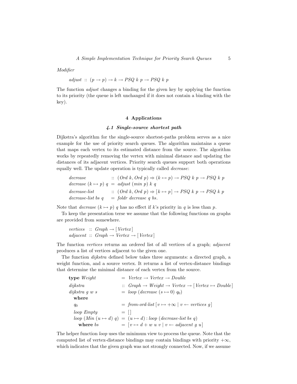Modifier

adjust ::  $(p \rightarrow p) \rightarrow k \rightarrow PSQ \; k \; p \rightarrow PSQ \; k \; p$ 

The function adjust changes a binding for the given key by applying the function to its priority (the queue is left unchanged if it does not contain a binding with the key).

# 4 Applications

# 4.1 Single-source shortest path

Dijkstra's algorithm for the single-source shortest-paths problem serves as a nice example for the use of priority search queues. The algorithm maintains a queue that maps each vertex to its estimated distance from the source. The algorithm works by repeatedly removing the vertex with minimal distance and updating the distances of its adjacent vertices. Priority search queues support both operations equally well. The update operation is typically called decrease:

| decrease                                          | $\therefore$ (Ord k, Ord p) $\Rightarrow$ $(k \mapsto p) \rightarrow PSQ$ k $p \rightarrow PSQ$ k p |
|---------------------------------------------------|-----------------------------------------------------------------------------------------------------|
| decrease $(k \mapsto p)$ $q = adjust (min p) k q$ |                                                                                                     |
| $decrease-list$                                   | $\therefore$ (Ord k, Ord p) $\Rightarrow$ $[k \mapsto p] \rightarrow PSQ$ k $p \rightarrow PSQ$ k p |
| decrease-list bs q                                | $=$ foldr decrease q bs.                                                                            |

Note that *decrease*  $(k \mapsto p)$  q has no effect if k's priority in q is less than p.

To keep the presentation terse we assume that the following functions on graphs are provided from somewhere.

```
vertices :: Graph \rightarrow [Vertex]adjacent :: Graph \rightarrow Vertex \rightarrow [Vertex]
```
The function vertices returns an ordered list of all vertices of a graph; adjacent produces a list of vertices adjacent to the given one.

The function dijkstra defined below takes three arguments: a directed graph, a weight function, and a source vertex. It returns a list of vertex-distance bindings that determine the minimal distance of each vertex from the source.

| type Weight    |        | $=$ Vertex $\rightarrow$ Vertex $\rightarrow$ Double                                                     |
|----------------|--------|----------------------------------------------------------------------------------------------------------|
| dijkstra       |        | $\therefore$ Graph $\rightarrow$ Weight $\rightarrow$ Vertex $\rightarrow$ [Vertex $\rightarrow$ Double] |
| dijkstra g w s |        | $=$ loop (decrease $(s \mapsto 0)$ $q_0$ )                                                               |
| where          |        |                                                                                                          |
| $q_0$          |        | $= from\text{-}ord\text{-}list [v \mapsto +\infty [v \leftarrow vertices g]$                             |
| loop Empty     | $=$ 11 |                                                                                                          |
|                |        | $loop (Min (u \rightarrow d) q) = (u \rightarrow d) : loop (decrease-list bs q)$                         |
| where bs       |        | $= [v \mapsto d + w u v] v \leftarrow adjacent g u$                                                      |

The helper function loop uses the minimum view to process the queue. Note that the computed list of vertex-distance bindings may contain bindings with priority  $+\infty$ , which indicates that the given graph was not strongly connected. Now, if we assume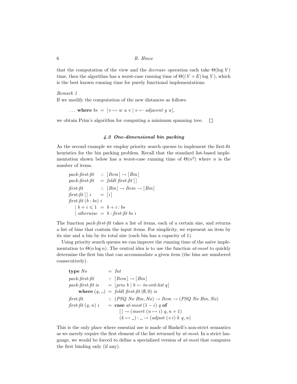that the computation of the view and the *decrease* operation each take  $\Theta(\log V)$ time, then the algorithm has a worst-case running time of  $\Theta((V+E) \log V)$ , which is the best known running time for purely functional implementations.

#### Remark 1

If we modify the computation of the new distances as follows

... where  $bs = [v \mapsto w \ u \ v \ | \ v \leftarrow \textit{adjacent } q \ u],$ 

we obtain Prim's algorithm for computing a minimum spanning tree.  $\Box$ 

# 4.2 One-dimensional bin packing

As the second example we employ priority search queues to implement the first-fit heuristics for the bin packing problem. Recall that the standard list-based implementation shown below has a worst-case running time of  $\Theta(n^2)$  where n is the number of items.

 $pack\text{-}first\text{-}fit$  ::  $[Item] \rightarrow [Bin]$  $pack-first-fit = foldlfinst-fit$ first-fit  $\text{if } Bin \to \text{Item} \to \text{[Bin]}$ first-fit  $[i]$   $i$  =  $[i]$ first-fit  $(b : bs)$  i  $| b + i \leq 1 = b + i : bs$ | otherwise =  $b: \text{first-fit}$  bs i

The function pack-first-fit takes a list of items, each of a certain size, and returns a list of bins that contain the input items. For simplicity, we represent an item by its size and a bin by its total size (each bin has a capacity of 1).

Using priority search queues we can improve the running time of the naîve implementation to  $\Theta(n \log n)$ . The central idea is to use the function at-most to quickly determine the first bin that can accommodate a given item (the bins are numbered consecutively).

type  $No$  =  $Int$  $pack\text{-}\mathit{first\text{-}\mathit{fit}} \qquad :: \ [\mathit{Item}]\rightarrow [\mathit{Bin}]$ pack-first-fit is  $= [prio \; b \; b \leftarrow to \; ord\text{-}list \; q]$ where  $(q, ) = \text{fold } first\text{-}fit (\emptyset, 0) \text{ is}$ first-fit ::  $(PSQ \text{ No } Bin, No) \rightarrow Item \rightarrow (PSQ \text{ No } Bin, No)$ first-fit  $(q, n)$  i = case at-most  $(1 - i)$  q of  $[ ] \rightarrow (insert (n \mapsto i) q, n + 1)$  $(k \mapsto ...): = (adjust (+i) k q, n)$ 

This is the only place where essential use is made of Haskell's non-strict semantics as we merely require the first element of the list returned by at-most. In a strict language, we would be forced to define a specialized version of  $at-most$  that computes the first binding only (if any).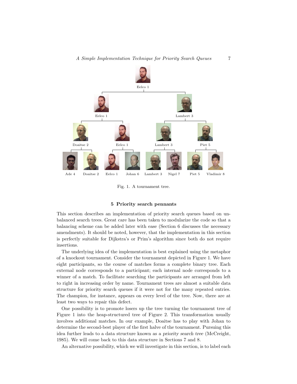

Fig. 1. A tournament tree.

#### 5 Priority search pennants

This section describes an implementation of priority search queues based on unbalanced search trees. Great care has been taken to modularize the code so that a balancing scheme can be added later with ease (Section 6 discusses the necessary amendments). It should be noted, however, that the implementation in this section is perfectly suitable for Dijkstra's or Prim's algorithm since both do not require insertions.

The underlying idea of the implementation is best explained using the metaphor of a knockout tournament. Consider the tournament depicted in Figure 1. We have eight participants, so the course of matches forms a complete binary tree. Each external node corresponds to a participant; each internal node corresponds to a winner of a match. To facilitate searching the participants are arranged from left to right in increasing order by name. Tournament trees are almost a suitable data structure for priority search queues if it were not for the many repeated entries. The champion, for instance, appears on every level of the tree. Now, there are at least two ways to repair this defect.

One possibility is to promote losers up the tree turning the tournament tree of Figure 1 into the heap-structured tree of Figure 2. This transformation usually involves additional matches. In our example, Doaitse has to play with Johan to determine the second-best player of the first halve of the tournament. Pursuing this idea further leads to a data structure known as a priority search tree (McCreight, 1985). We will come back to this data structure in Sections 7 and 8.

An alternative possibility, which we will investigate in this section, is to label each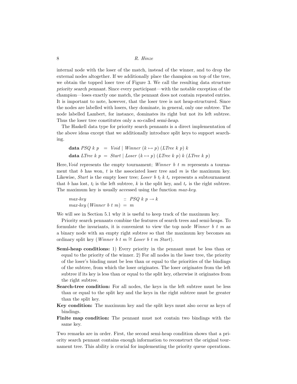internal node with the loser of the match, instead of the winner, and to drop the external nodes altogether. If we additionally place the champion on top of the tree, we obtain the topped loser tree of Figure 3. We call the resulting data structure priority search pennant. Since every participant—with the notable exception of the champion—loses exactly one match, the pennant does not contain repeated entries. It is important to note, however, that the loser tree is not heap-structured. Since the nodes are labelled with losers, they dominate, in general, only one subtree. The node labelled Lambert, for instance, dominates its right but not its left subtree. Thus the loser tree constitutes only a so-called semi-heap.

The Haskell data type for priority search pennants is a direct implementation of the above ideas except that we additionally introduce split keys to support searching.

$$
\text{data } PSQ \ k \ p \quad = \text{\textit{void}} \mid \textit{Winner} \ (k \mapsto p) \ (LTree \ k \ p) \ k
$$
\n
$$
\text{data } LTree \ k \ p \quad = \textit{Start} \ | \ \textit{Loser} \ (k \mapsto p) \ (LTree \ k \ p) \ k \ (LTree \ k \ p)
$$

Here, Void represents the empty tournament; Winner b t m represents a tournament that b has won, t is the associated loser tree and  $m$  is the maximum key. Likewise, *Start* is the empty loser tree; *Loser* b  $t<sub>l</sub>$  k  $t<sub>r</sub>$  represents a subtournament that b has lost,  $t_l$  is the left subtree, k is the split key, and  $t_r$  is the right subtree. The maximum key is usually accessed using the function  $max-key$ .

```
max\text{-}key :: PSQ k p \rightarrow kmax-key (Winner b t m) = m
```
We will see in Section 5.1 why it is useful to keep track of the maximum key.

Priority search pennants combine the features of search trees and semi-heaps. To formulate the invariants, it is convenient to view the top node Winner  $b$  t m as a binary node with an empty right subtree so that the maximum key becomes an ordinary split key (*Winner b t m*  $\cong$  *Loser b t m Start*).

- Semi-heap conditions: 1) Every priority in the pennant must be less than or equal to the priority of the winner. 2) For all nodes in the loser tree, the priority of the loser's binding must be less than or equal to the priorities of the bindings of the subtree, from which the loser originates. The loser originates from the left subtree if its key is less than or equal to the split key, otherwise it originates from the right subtree.
- Search-tree condition: For all nodes, the keys in the left subtree must be less than or equal to the split key and the keys in the right subtree must be greater than the split key.
- Key condition: The maximum key and the split keys must also occur as keys of bindings.
- Finite map condition: The pennant must not contain two bindings with the same key.

Two remarks are in order. First, the second semi-heap condition shows that a priority search pennant contains enough information to reconstruct the original tournament tree. This ability is crucial for implementing the priority queue operations.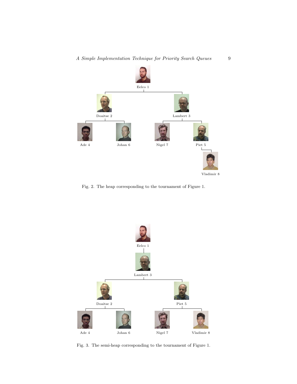

Fig. 2. The heap corresponding to the tournament of Figure 1.



Fig. 3. The semi-heap corresponding to the tournament of Figure 1.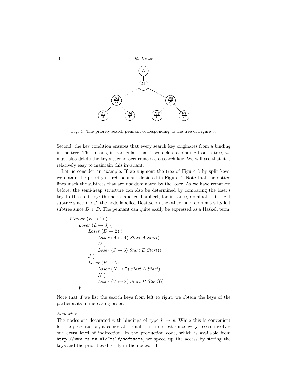

Fig. 4. The priority search pennant corresponding to the tree of Figure 3.

Second, the key condition ensures that every search key originates from a binding in the tree. This means, in particular, that if we delete a binding from a tree, we must also delete the key's second occurrence as a search key. We will see that it is relatively easy to maintain this invariant.

Let us consider an example. If we augment the tree of Figure 3 by split keys, we obtain the priority search pennant depicted in Figure 4. Note that the dotted lines mark the subtrees that are not dominated by the loser. As we have remarked before, the semi-heap structure can also be determined by comparing the loser's key to the split key: the node labelled Lambert, for instance, dominates its right subtree since  $L > J$ ; the node labelled Doaitse on the other hand dominates its left subtree since  $D \le D$ . The pennant can quite easily be expressed as a Haskell term:

$$
Winner (E \rightarrow 1) (
$$
  
\n
$$
Loser (L \rightarrow 3) (
$$
  
\n
$$
Loser (D \rightarrow 2) (
$$
  
\n
$$
Loser (A \rightarrow 4) Start A Start)
$$
  
\n
$$
D (
$$
  
\n
$$
Loser (J \rightarrow 6) Start E Start))
$$
  
\n
$$
J (
$$
  
\n
$$
Loser (P \rightarrow 5) (
$$
  
\n
$$
Loser (N \rightarrow 7) Start L Start)
$$
  
\n
$$
N (
$$
  
\n
$$
Loser (V \rightarrow 8) Start P Start)) )
$$
  
\n
$$
V.
$$

Note that if we list the search keys from left to right, we obtain the keys of the participants in increasing order.

# Remark 2

The nodes are decorated with bindings of type  $k \mapsto p$ . While this is convenient for the presentation, it comes at a small run-time cost since every access involves one extra level of indirection. In the production code, which is available from http://www.cs.uu.nl/~ralf/software, we speed up the access by storing the keys and the priorities directly in the nodes. $\Box$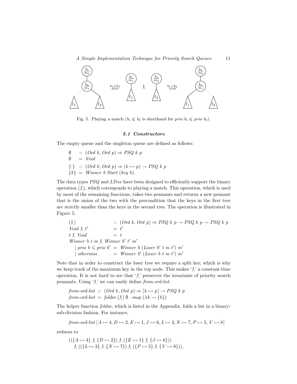A Simple Implementation Technique for Priority Search Queues 11



Fig. 5. Playing a match  $(b_1 \leq b_2 \text{ is shorthand for } prio \ b_1 \leq prio \ b_2).$ 

# 5.1 Constructors

The empty queue and the singleton queue are defined as follows:

 $\emptyset$  ::  $(Ord k, Ord p) \Rightarrow PSQ k p$  $\emptyset$  = Void  $\{\cdot\} :: (Ord k, Ord p) \Rightarrow (k \mapsto p) \rightarrow PSQ k p$  ${b} =$  Winner b Start (key b).

The data types PSQ and LTree have been designed to efficiently support the binary operation  $(\uparrow)$ , which corresponds to playing a match. This operation, which is used by most of the remaining functions, takes two pennants and returns a new pennant that is the union of the two with the precondition that the keys in the first tree are strictly smaller than the keys in the second tree. The operation is illustrated in Figure 5.

( $\lambda$ ) ::  $(Ord k, Ord p) \Rightarrow PSQ k p \rightarrow PSQ k p \rightarrow PSQ k p$ Void  $\lambda$  t'  $\qquad \qquad = t'$  $t \uparrow$  Void  $t \uparrow$   $t$ Winner b  $t$  m  $\hat{\wedge}$  Winner b'  $t'$  m'  $\mid$  prio  $b \leq$  prio  $b' =$  Winner b (Loser b' t m t') m' | otherwise  $=$  Winner b' (Loser b t m t') m'

Note that in order to construct the loser tree we require a split key, which is why we keep track of the maximum key in the top node. This makes  $\hat{\lambda}$  a constant-time operation. It is not hard to see that  $\hat{\lambda}$  preserves the invariants of priority search pennants. Using  $\hat{\lambda}$  we can easily define from-ord-list.

from-ord-list ::  $(Ord k, Ord p) \Rightarrow [k \mapsto p] \rightarrow PSQ k p$ from-ord-list = foldm  $(\lambda)$   $\emptyset$  · map  $(\lambda b \rightarrow \{b\})$ 

The helper function  $foldm$ , which is listed in the Appendix, folds a list in a binarysub-division fashion. For instance,

from-ord-list 
$$
[A \mapsto 4, D \mapsto 2, E \mapsto 1, J \mapsto 6, L \mapsto 3, N \mapsto 7, P \mapsto 5, V \mapsto 8]
$$

reduces to

$$
((\lbrace A \mapsto 4 \rbrace \land \lbrace D \mapsto 2 \rbrace) \land (\lbrace E \mapsto 1 \rbrace \land \lbrace J \mapsto 6 \rbrace))
$$
  
 
$$
\land ((\lbrace L \mapsto 3 \rbrace \land \lbrace N \mapsto 7 \rbrace) \land (\lbrace P \mapsto 5 \rbrace \land \lbrace V \mapsto 8 \rbrace)),
$$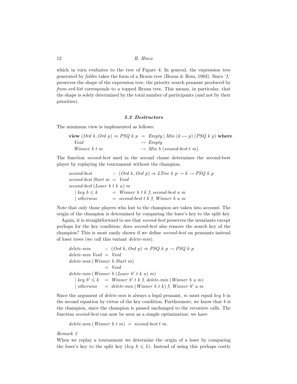which in turn evaluates to the tree of Figure 4. In general, the expression tree generated by *foldm* takes the form of a Braun tree (Braun & Rem, 1983). Since  $\hat{\lambda}$ ' preserves the shape of the expression tree, the priority search pennant produced by from-ord-list corresponds to a topped Braun tree. This means, in particular, that the shape is solely determined by the total number of participants (and not by their priorities).

#### 5.2 Destructors

The minimum view is implemented as follows:

|              | view $(Ord k, Ord p) \Rightarrow PSQ k p = Empty   Min (k \mapsto p) (PSQ k p)$ where |
|--------------|---------------------------------------------------------------------------------------|
| <i>Void</i>  | $\rightarrow$ Empty                                                                   |
| Winner b t m | $\rightarrow$ Min b (second-best t m).                                                |

The function second-best used in the second clause determines the second-best player by replaying the tournament without the champion.

| $second-best$                   | $\therefore$ (Ord k, Ord p) $\Rightarrow$ LTree k p $\rightarrow$ k $\rightarrow$ PSQ k p |
|---------------------------------|-------------------------------------------------------------------------------------------|
| second-best Start $m = Void$    |                                                                                           |
| second-best (Loser b t k u) $m$ |                                                                                           |
| $\vert \; key \; b \leq k$      | $=$ Winner b t k $\lambda$ second-best u m                                                |
| $\vert$ otherwise               | $= second-best t k \wedge Winner b u m$                                                   |

Note that only those players who lost to the champion are taken into account. The origin of the champion is determined by comparing the loser's key to the split key.

Again, it is straightforward to see that second-best preserves the invariants except perhaps for the key condition: does second-best also remove the search key of the champion? This is most easily shown if we define second-best on pennants instead of loser trees (we call this variant delete-min).

delete-min ::  $(Ord k, Ord p) \Rightarrow PSQ k p \rightarrow PSQ k p$  $delete-min\ void\ =\ Void$ delete-min (Winner b Start m)  $=$  Void  $delete-min (Winner b (Loser b' t k u) m)$  $\vert \text{key } b' \leq k = \text{Winner } b' \text{ t } k \wedge \text{delete-min } (\text{Winner } b \text{ u } m)$ | otherwise = delete-min (Winner b t k)  $\hat{\lambda}$  Winner b' u m

Since the argument of *delete-min* is always a legal pennant, m must equal key b in the second equation by virtue of the key condition. Furthermore, we know that  $b$  is the champion, since the champion is passed unchanged to the recursive calls. The function second-best can now be seen as a simple optimization: we have

delete-min (Winner b t m) = second-best t m.

#### Remark 3

When we replay a tournament we determine the origin of a loser by comparing the loser's key to the split key  $(key\ b \leq k)$ . Instead of using this perhaps costly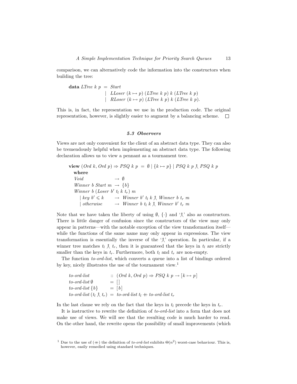comparison, we can alternatively code the information into the constructors when building the tree:

data LTree k  $p = Start$ | LLoser  $(k \mapsto p)$  (LTree k p) k (LTree k p) | RLoser  $(k \mapsto p)$  (LTree k p) k (LTree k p).

This is, in fact, the representation we use in the production code. The original representation, however, is slightly easier to augment by a balancing scheme.  $\Box$ 

# 5.3 Observers

Views are not only convenient for the client of an abstract data type. They can also be tremendously helpful when implementing an abstract data type. The following declaration allows us to view a pennant as a tournament tree.

```
view (Ord k, Ord p) \Rightarrow PSQ k p = \emptyset | \{k \mapsto p\} | PSQ k p \uparrow PSQ k pwhere
    Void \longrightarrow Ø
    Winner b Start m \rightarrow \{b\}Winner b (Loser b' t_l k t_r) m
        \vert \; key \; b' \leq k \qquad \rightarrow \; Winner \; b' \; t_l \; k \; \bar{\land} \; Winner \; b \; t_r \; m| otherwise \longrightarrow Winner b t<sub>l</sub> k \hat{\wedge} Winner b' t<sub>r</sub> m
```
Note that we have taken the liberty of using  $\emptyset$ ,  $\{\cdot\}$  and  $\langle \lambda \rangle$  also as constructors. There is little danger of confusion since the constructors of the view may only appear in patterns—with the notable exception of the view transformation itself while the functions of the same name may only appear in expressions. The view transformation is essentially the inverse of the  $\hat{\lambda}$  operation. In particular, if a winner tree matches  $t_l \uparrow t_r$ , then it is guaranteed that the keys in  $t_l$  are strictly smaller than the keys in  $t_r$ . Furthermore, both  $t_l$  and  $t_r$  are non-empty.

The function to-ord-list, which converts a queue into a list of bindings ordered by key, nicely illustrates the use of the tournament view.<sup>1</sup>

| $to$ - $ord$ -list         |                 | $\therefore$ (Ord k, Ord p) $\Rightarrow$ PSQ k p $\rightarrow$ [k $\mapsto$ p] |  |
|----------------------------|-----------------|---------------------------------------------------------------------------------|--|
| $to$ -ord-list $\emptyset$ | $=$ $\parallel$ |                                                                                 |  |
| to-ord-list $\{b\}$        |                 | $=  b $                                                                         |  |
|                            |                 | to-ord-list $(t_l \uparrow t_r) =$ to-ord-list $t_l$ + to-ord-list $t_r$        |  |

In the last clause we rely on the fact that the keys in  $t_l$  precede the keys in  $t_r$ .

It is instructive to rewrite the definition of to-ord-list into a form that does not make use of views. We will see that the resulting code is much harder to read. On the other hand, the rewrite opens the possibility of small improvements (which

<sup>&</sup>lt;sup>1</sup> Due to the use of  $(+)$  the definition of to-ord-list exhibits  $\Theta(n^2)$  worst-case behaviour. This is, however, easily remedied using standard techniques.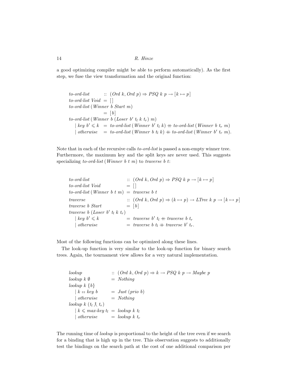a good optimizing compiler might be able to perform automatically). As the first step, we fuse the view transformation and the original function:

```
to-ord-list :: (Ord k, Ord p) \Rightarrow PSQ k p \rightarrow [k \mapsto p]to-ord-list Void = []to-ord-list (Winner b Start m)
                       = [b]to-ord-list (Winner b (Loser b' t_l k t_r) m)
    | \text{ key } b' \leq k = to \text{-}ord\text{-}list \text{ (Winner } b' \text{ } t_l \text{ } k) + to \text{-}ord\text{-}list \text{ (Winner } b \text{ } t_r \text{ } m)| otherwise = to-ord-list (Winner b t<sub>l</sub> k) + to-ord-list (Winner b' t<sub>r</sub> m).
```
Note that in each of the recursive calls to-ord-list is passed a non-empty winner tree. Furthermore, the maximum key and the split keys are never used. This suggests specializing to-ord-list (Winner b  $t \, m$ ) to traverse b  $t$ :

| $to$ - $ord$ -list                           |        | $\therefore$ (Ord k, Ord p) $\Rightarrow$ PSQ k p $\rightarrow$ [k $\mapsto$ p]                              |
|----------------------------------------------|--------|--------------------------------------------------------------------------------------------------------------|
| to-ord-list Void                             | $=$ 11 |                                                                                                              |
| $to$ -ord-list (Winner b t m) = traverse b t |        |                                                                                                              |
| <i>traverse</i>                              |        | $\therefore$ (Ord k, Ord p) $\Rightarrow$ $(k \mapsto p) \rightarrow L$ Tree k $p \rightarrow [k \mapsto p]$ |
| traverse b Start                             |        | $=  b $                                                                                                      |
| traverse b (Loser b' $t_l$ k $t_r$ )         |        |                                                                                                              |
| $key b' \leq k$                              |        | $=$ traverse b' $t_l$ + traverse b $t_r$                                                                     |
| otherwise                                    |        | $=$ traverse b $t_l$ + traverse b' $t_r$ .                                                                   |

Most of the following functions can be optimized along these lines.

The look-up function is very similar to the look-up function for binary search trees. Again, the tournament view allows for a very natural implementation.

```
lookup :: (Ord k, Ord p) \Rightarrow k \rightarrow PSQ k p \rightarrow Maybe p\{ \n  \pmb{\quad} \omega \} = \pmb{\quad} \text{Nothing}lookup k \{b\}\vert k = \textit{key } b = \textit{Just } (\textit{prio } b)\vert otherwise = Nothing
lookup k (t_l \nightharpoondown t_r)| k \leq max-key t_l = lookup k t_l| otherwise = lookup k t<sub>r</sub>
```
The running time of *lookup* is proportional to the height of the tree even if we search for a binding that is high up in the tree. This observation suggests to additionally test the bindings on the search path at the cost of one additional comparison per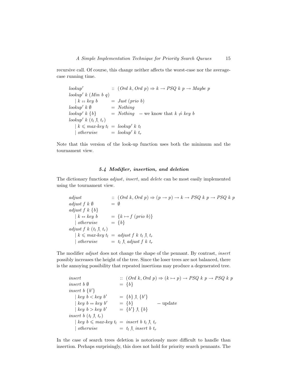recursive call. Of course, this change neither affects the worst-case nor the averagecase running time.

 $lookup'$ ::  $(Ord k, Ord p) \Rightarrow k \rightarrow PSQ k p \rightarrow Maybe p$  $lookup' k (Min b q)$  $\vert k = \text{key } b = \text{Just (} \text{prio } b \text{)}$  $lookup' k$  $\emptyset$  $=$  Nothing  $lookup' k {b}$ = Nothing -- we know that  $k \neq \text{key } b$ lookup' k  $(t_l \nightharpoondown t_r)$  $k \leq max$ -key  $t_l =$  lookup' k  $t_l$ | otherwise  $\qquad \qquad = \text{ lookup'} \; k \; t_r$ 

Note that this version of the look-up function uses both the minimum and the tournament view.

# 5.4 Modifier, insertion, and deletion

The dictionary functions *adjust*, *insert*, and *delete* can be most easily implemented using the tournament view.

adjust ::  $(Ord k, Ord p) \Rightarrow (p \rightarrow p) \rightarrow k \rightarrow PSQ k p \rightarrow PSQ k p$ adjust f k  $\emptyset$  =  $\emptyset$ adjust  $f \, k \, \{b\}$  $\vert k = \text{key } b \vert$  =  $\{k \mapsto f \text{ (prio } b)\}$ | otherwise  $= \{b\}$ adjust  $f k$   $(t_l \nightharpoondown t_r)$  $| k \leq max$ -key  $t_l = adjust f k t_l \uparrow t_r$ | otherwise  $= t_l \uparrow$  adjust f k t<sub>r</sub>

The modifier *adjust* does not change the shape of the pennant. By contrast, *insert* possibly increases the height of the tree. Since the loser trees are not balanced, there is the annoying possibility that repeated insertions may produce a degenerated tree.

insert ::  $(Ord k, Ord p) \Rightarrow (k \mapsto p) \rightarrow PSQ k p \rightarrow PSQ k p$ insert b  $\emptyset$  = {b} insert  $b \{b'\}$  $\begin{aligned} \n\mid \text{key } b < \text{key } b' \n\end{aligned} = \{b\} \uparrow \{b'\}$  $\begin{array}{rcl} \n\text{key } b \text{ == } key \; b' & = \{b\} & \text{-- update} \n\end{array}$  $\vert \text{key } b > \text{key } b' \vert = \{b'\} \wedge \{b\}$ insert b  $(t_l \nightharpoondown t_r)$ | key  $b \leqslant max$ -key  $t_l = insert b t_l \uparrow t_r$ | otherwise  $= t_l \wedge$  insert b  $t_r$ 

In the case of search trees deletion is notoriously more difficult to handle than insertion. Perhaps surprisingly, this does not hold for priority search pennants. The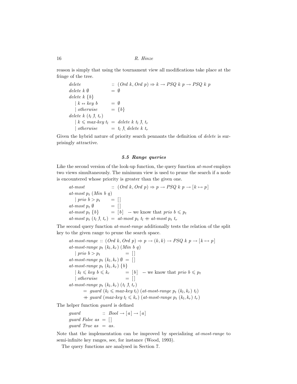reason is simply that using the tournament view all modifications take place at the fringe of the tree.

delete ::  $(Ord k. Ord p) \Rightarrow k \rightarrow PSQ k p \rightarrow PSQ k p$  $delete \ k \emptyset = \emptyset$ delete k {b}  $\mid k == key b \mid \emptyset$ | otherwise  $= \{b\}$ delete k  $(t_l \nightharpoondown t_r)$  $| k \leq m$ ax-key  $t_l =$  delete k  $t_l \uparrow t_r$ | otherwise  $= t_l \uparrow$  delete k t<sub>r</sub>

Given the hybrid nature of priority search pennants the definition of *delete* is surprisingly attractive.

## 5.5 Range queries

Like the second version of the look-up function, the query function  $at-most$  employs two views simultaneously. The minimum view is used to prune the search if a node is encountered whose priority is greater than the given one.

at-most ::  $(Ord k, Ord p) \Rightarrow p \rightarrow PSQ k p \rightarrow [k \mapsto p]$ at-most  $p_t$  (Min b q)  $\mid prio \, b > p_t \mid = [$  $at-most\ p_t\ \emptyset\qquad \qquad =\ [$ at-most  $p_t \{b\}$  =  $[b]$  -- we know that prio  $b \leq p_t$ at-most  $p_t$   $(t_l \uparrow t_r) = at$ -most  $p_t$   $t_l + at$ -most  $p_t$   $t_r$ 

The second query function *at-most-range* additionally tests the relation of the split key to the given range to prune the search space.

at-most-range ::  $(Ord k, Ord p) \Rightarrow p \rightarrow (k, k) \rightarrow PSQ k p \rightarrow [k \mapsto p]$ at-most-range  $p_t(k_l, k_r)$  (Min b q)  $\mid \text{prio } b > p_t \mid \qquad \qquad = \lceil \rceil$ at-most-range  $p_t(k_l, k_r)$   $\emptyset = []$ at-most-range  $p_t(k_l, k_r)$  {b}  $| k_l \leqslant key \, b \leqslant k_r = [b]$  -- we know that prio  $b \leqslant p_t$ | otherwise  $=$   $[$ ] at-most-range  $p_t(k_l, k_r)$   $(t_l \uparrow t_r)$  $=$  guard  $(k_l \leqslant max \text{-}key t_l)$  (at-most-range  $p_t$   $(k_l, k_r)$   $t_l)$  $+$  guard (max-key  $t_l \leq k_r$ ) (at-most-range  $p_t$  ( $k_l, k_r$ )  $t_r$ )

The helper function guard is defined

guard ::  $Bool \rightarrow [a] \rightarrow [a]$ guard False as  $= \lceil \rceil$ guard True  $as = as$ .

Note that the implementation can be improved by specializing *at-most-range* to semi-infinite key ranges, see, for instance (Wood, 1993).

The query functions are analysed in Section 7.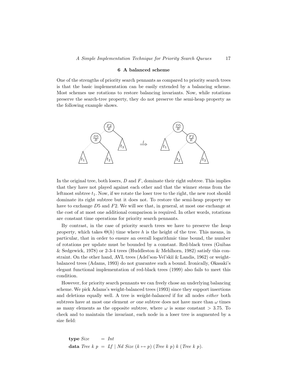#### 6 A balanced scheme

One of the strengths of priority search pennants as compared to priority search trees is that the basic implementation can be easily extended by a balancing scheme. Most schemes use rotations to restore balancing invariants. Now, while rotations preserve the search-tree property, they do not preserve the semi-heap property as the following example shows.



In the original tree, both losers,  $D$  and  $F$ , dominate their right subtree. This implies that they have not played against each other and that the winner stems from the leftmost subtree  $t_1$ . Now, if we rotate the loser tree to the right, the new root should dominate its right subtree but it does not. To restore the semi-heap property we have to exchange D5 and F2. We will see that, in general, at most one exchange at the cost of at most one additional comparison is required. In other words, rotations are constant time operations for priority search pennants.

By contrast, in the case of priority search trees we have to preserve the heap property, which takes  $\Theta(h)$  time where h is the height of the tree. This means, in particular, that in order to ensure an overall logarithmic time bound, the number of rotations per update must be bounded by a constant. Red-black trees (Guibas & Sedgewick, 1978) or 2-3-4 trees (Huddleston & Mehlhorn, 1982) satisfy this constraint. On the other hand, AVL trees (Adel'son-Vel'skiı̆  $\&$  Landis, 1962) or weightbalanced trees (Adams, 1993) do not guarantee such a bound. Ironically, Okasaki's elegant functional implementation of red-black trees (1999) also fails to meet this condition.

However, for priority search pennants we can freely chose an underlying balancing scheme. We pick Adams's weight-balanced trees (1993) since they support insertions and deletions equally well. A tree is weight-balanced if for all nodes either both subtrees have at most one element or one subtree does not have more than  $\omega$  times as many elements as the opposite subtree, where  $\omega$  is some constant  $> 3.75$ . To check and to maintain the invariant, each node in a loser tree is augmented by a size field:

$$
\text{type Size} = Int
$$
\n
$$
\text{data Tree } k \ p = Lf \mid Nd \ Size \ (k \mapsto p) \ (Tree \ k \ p) \ k \ (Tree \ k \ p).
$$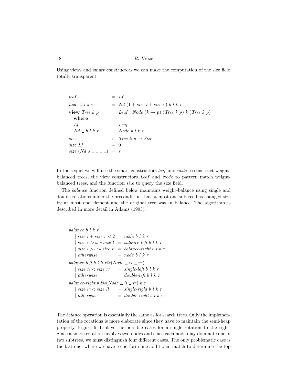Using views and smart constructors we can make the computation of the size field totally transparent.

| leaf                    |       | $= Lf$                                                  |
|-------------------------|-------|---------------------------------------------------------|
| node $b \, l \, k \, r$ |       | $= Nd (1 + size l + size r) b l k r$                    |
| view Tree $k$ p         |       | $=$ Leaf   Node $(k \mapsto p)$ (Tree k p) k (Tree k p) |
| where                   |       |                                                         |
| Lf                      |       | $\rightarrow$ Leaf                                      |
| $Nd_b l k r$            |       | $\rightarrow$ Node b l k r                              |
| size                    |       | $\therefore$ Tree k $p \rightarrow Size$                |
| size Lf                 | $= 0$ |                                                         |
| size $(Nd s_{---}) = s$ |       |                                                         |

In the sequel we will use the smart constructors *leaf* and *node* to construct weightbalanced trees, the view constructors Leaf and Node to pattern match weightbalanced trees, and the function size to query the size field.

The balance function defined below maintains weight-balance using single and double rotations under the precondition that at most one subtree has changed size by at most one element and the original tree was in balance. The algorithm is described in more detail in Adams (1993).

```
balance b l k r
   | size l + size \ r < 2 = node \ b \ l \ k \ r| size r > \omega * size \ell = balance-left \ b \ \ell \ k \ r| size l > \omega * size r = balance-right b l k r| otherwise = node b l k rbalance-left b l k r@(Node = rl = rr)\vert size rl < size \r{rr} = single-left b l k r
   \vert otherwise \vert = double-left b l k r
balance-right b l@(Node = ll = lr) k r| size lr < size ll = single-right b l k r
   | otherwise = double-right \, b \, l \, k \, r
```
The *balance* operation is essentially the same as for search trees. Only the implementation of the rotations is more elaborate since they have to maintain the semi-heap property. Figure 6 displays the possible cases for a single rotation to the right. Since a single rotation involves two nodes and since each node may dominate one of two subtrees, we must distinguish four different cases. The only problematic case is the last one, where we have to perform one additional match to determine the top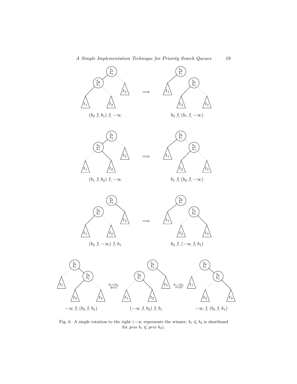

Fig. 6. A single rotation to the right ( $-\infty$  represents the winner;  $b_1 \leq b_2$  is shorthand for *prio*  $b_1 \leq p$ *rio*  $b_2$ ).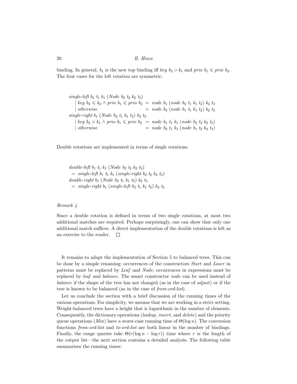binding. In general,  $b_1$  is the new top binding iff key  $b_2 > k_1$  and prio  $b_1 \leqslant pri$  o  $b_2$ . The four cases for the left rotation are symmetric.

single-left  $b_1$   $t_1$   $k_1$  (Node  $b_2$   $t_2$   $k_2$   $t_3$ ) | key  $b_2 \le k_2 \wedge \text{prio } b_1 \le \text{prio } b_2 = \text{node } b_1 \text{ (node } b_2 t_1 k_1 t_2) k_2 t_3$ | otherwise  $=$  node  $b_2$  (node  $b_1$  t<sub>1</sub> k<sub>1</sub> t<sub>2</sub>) k<sub>2</sub> t<sub>3</sub> single-right  $b_1$  (Node  $b_2$   $t_1$   $k_1$   $t_2$ )  $k_2$   $t_3$ | key  $b_2 > k_1$  ∧ prio  $b_1 \leq p$ rio  $b_2$  = node  $b_1$  t<sub>1</sub>  $k_1$  (node  $b_2$  t<sub>2</sub>  $k_2$  t<sub>3</sub>) | otherwise  $=$  node  $b_2$   $t_1$   $k_1$  (node  $b_1$   $t_2$   $k_2$   $t_3$ )

Double rotations are implemented in terms of single rotations.

double-left  $b_1$   $t_1$   $k_1$  (Node  $b_2$   $t_2$   $k_2$   $t_3$ )  $=$  single-left  $b_1$   $t_1$   $k_1$  (single-right  $b_2$   $t_2$   $k_2$   $t_3$ ) double-right  $b_1$  (Node  $b_2$   $t_1$   $k_1$   $t_2$ )  $k_2$   $t_3$  $=$  single-right  $b_1$  (single-left  $b_2$   $t_1$   $k_1$   $t_2$ )  $k_2$   $t_3$ 

# Remark 4

Since a double rotation is defined in terms of two single rotations, at most two additional matches are required. Perhaps surprisingly, one can show that only one additional match suffices. A direct implementation of the double rotations is left as an exercise to the reader.  $\Box$ 

It remains to adapt the implementation of Section 5 to balanced trees. This can be done by a simple renaming: occurrences of the constructors Start and Loser in patterns must be replaced by Leaf and Node; occurrences in expressions must be replaced by leaf and balance. The smart constructor node can be used instead of balance if the shape of the tree has not changed (as in the case of adjust) or if the tree is known to be balanced (as in the case of from-ord-list).

Let us conclude the section with a brief discussion of the running times of the various operations. For simplicity, we assume that we are working in a strict setting. Weight-balanced trees have a height that is logarithmic in the number of elements. Consequently, the dictionary operations (lookup, insert, and delete) and the priority queue operations (Min) have a worst-case running time of  $\Theta(\log n)$ . The conversion functions *from-ord-list* and *to-ord-list* are both linear in the number of bindings. Finally, the range queries take  $\Theta(r(\log n - \log r))$  time where r is the length of the output list—the next section contains a detailed analysis. The following table summarizes the running times: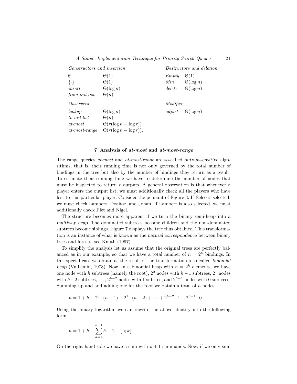| Constructors and insertion |                               | Destructors and deletion |                  |  |
|----------------------------|-------------------------------|--------------------------|------------------|--|
| Ø                          | $\Theta(1)$                   | Empty                    | $\Theta(1)$      |  |
| $\{\cdot\}$                | $\Theta(1)$                   | Min                      | $\Theta(\log n)$ |  |
| insert                     | $\Theta(\log n)$              | delete                   | $\Theta(\log n)$ |  |
| from-ord-list              | $\Theta(n)$                   |                          |                  |  |
| <i>Observers</i>           |                               | Modifier                 |                  |  |
| lookup                     | $\Theta(\log n)$              | adjust                   | $\Theta(\log n)$ |  |
| $to$ -ord-list             | $\Theta(n)$                   |                          |                  |  |
| $at-most$                  | $\Theta(r(\log n - \log r))$  |                          |                  |  |
| $at$ -most-range           | $\Theta(r(\log n - \log r)).$ |                          |                  |  |

#### 7 Analysis of at-most and at-most-range

The range queries at-most and at-most-range are so-called output-sensitive algorithms, that is, their running time is not only governed by the total number of bindings in the tree but also by the number of bindings they return as a result. To estimate their running time we have to determine the number of nodes that must be inspected to return r outputs. A general observation is that whenever a player enters the output list, we must additionally check all the players who have lost to this particular player. Consider the pennant of Figure 3. If Eelco is selected, we must check Lambert, Doaitse, and Johan. If Lambert is also selected, we must additionally check Piet and Nigel.

The structure becomes more apparent if we turn the binary semi-heap into a multiway heap. The dominated subtrees become children and the non-dominated subtrees become siblings. Figure 7 displays the tree thus obtained. This transformation is an instance of what is known as the natural correspondence between binary trees and forests, see Knuth (1997).

To simplify the analysis let us assume that the original trees are perfectly balanced as in our example, so that we have a total number of  $n = 2<sup>h</sup>$  bindings. In this special case we obtain as the result of the transformation a so-called binomial heap (Vuillemin, 1978). Now, in a binomial heap with  $n = 2<sup>h</sup>$  elements, we have one node with h subtrees (namely the root), 2<sup>0</sup> nodes with  $h-1$  subtrees, 2<sup>1</sup> nodes with  $h-2$  subtrees, ...,  $2^{h-2}$  nodes with 1 subtree, and  $2^{h-1}$  nodes with 0 subtrees. Summing up and and adding one for the root we obtain a total of  $n$  nodes:

$$
n = 1 + h + 2^{0} \cdot (h - 1) + 2^{1} \cdot (h - 2) + \dots + 2^{h-2} \cdot 1 + 2^{h-1} \cdot 0.
$$

Using the binary logarithm we can rewrite the above identity into the following form:

$$
n = 1 + h + \sum_{k=1}^{n-1} h - 1 - \lfloor \lg k \rfloor.
$$

On the right-hand side we have a sum with  $n + 1$  summands. Now, if we only sum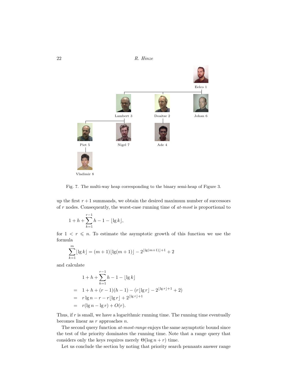

Fig. 7. The multi-way heap corresponding to the binary semi-heap of Figure 3.

up the first  $r + 1$  summands, we obtain the desired maximum number of successors of  $r$  nodes. Consequently, the worst-case running time of  $at-most$  is proportional to

$$
1 + h + \sum_{k=1}^{r-1} h - 1 - \lfloor \lg k \rfloor,
$$

for  $1 \leq r \leq n$ . To estimate the asymptotic growth of this function we use the formula

$$
\sum_{k=1}^{m} \lfloor \lg k \rfloor = (m+1) \lfloor \lg(m+1) \rfloor - 2^{\lfloor \lg(m+1) \rfloor + 1} + 2
$$

and calculate

$$
1 + h + \sum_{k=1}^{r-1} h - 1 - \lfloor \lg k \rfloor
$$
  
= 1 + h + (r - 1)(h - 1) - (r \lfloor \lg r \rfloor - 2^{\lfloor \lg r \rfloor + 1} + 2)  
= r \lg n - r - r \lfloor \lg r \rfloor + 2^{\lfloor \lg r \rfloor + 1}  
= r(\lg n - \lg r) + O(r).

Thus, if  $r$  is small, we have a logarithmic running time. The running time eventually becomes linear as r approaches n.

The second query function at-most-range enjoys the same asymptotic bound since the test of the priority dominates the running time. Note that a range query that considers only the keys requires merely  $\Theta(\log n + r)$  time.

Let us conclude the section by noting that priority search pennants answer range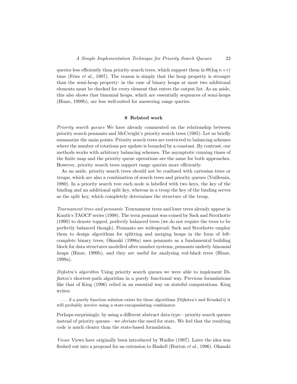queries less efficiently than priority search trees, which support them in  $\Theta(\log n+r)$ time (Fries *et al.*, 1987). The reason is simply that the heap property is stronger than the semi-heap property: in the case of binary heaps at most two additional elements must be checked for every element that enters the output list. As an aside, this also shows that binomial heaps, which are essentially sequences of semi-heaps (Hinze, 1999b), are less well-suited for answering range queries.

# 8 Related work

Priority search queues We have already commented on the relationship between priority search pennants and McCreight's priority search trees (1985). Let us briefly summarize the main points. Priority search trees are restricted to balancing schemes where the number of rotations per update is bounded by a constant. By contrast, our methods works with arbitrary balancing schemes. The asymptotic running times of the finite map and the priority queue operations are the same for both approaches. However, priority search trees support range queries more efficiently.

As an aside, priority search trees should not be confused with cartesian trees or treaps, which are also a combination of search trees and priority queues (Vuillemin, 1980). In a priority search tree each node is labelled with two keys, the key of the binding and an additional split key, whereas in a treap the key of the binding serves as the split key, which completely determines the structure of the treap.

Tournament trees and pennants Tournament trees and loser trees already appear in Knuth's TAOCP series (1998). The term pennant was coined by Sack and Strothotte (1990) to denote topped, perfectly balanced trees (we do not require the trees to be perfectly balanced though). Pennants are widespread: Sack and Strothotte employ them to design algorithms for splitting and merging heaps in the form of leftcomplete binary trees, Okasaki (1998a) uses pennants as a fundamental building block for data structures modelled after number systems, pennants underly binomial heaps (Hinze, 1999b), and they are useful for analysing red-black trees (Hinze, 1999a).

Dijkstra's algorithm Using priority search queues we were able to implement Dijkstra's shortest-path algorithm in a purely functional way. Previous formulations like that of King (1996) relied in an essential way on stateful computations. King writes:

. . . if a purely function solution exists for these algorithms [Dijkstra's and Kruskal's] it will probably involve using a state-encapsulating combinator.

Perhaps surprisingly, by using a different abstract data type—priority search queues instead of priority queues—we obviate the need for state. We feel that the resulting code is much clearer than the state-based formulation.

Views Views have originally been introduced by Wadler (1987). Later the idea was fleshed out into a proposal for an extension to Haskell (Burton et al., 1996). Okasaki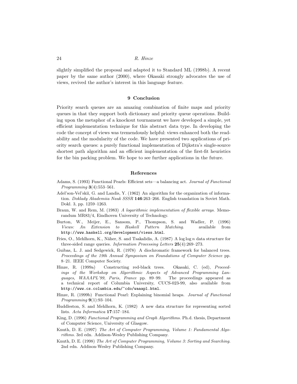slightly simplified the proposal and adapted it to Standard ML (1998b). A recent paper by the same author (2000), where Okasaki strongly advocates the use of views, revived the author's interest in this language feature.

# 9 Conclusion

Priority search queues are an amazing combination of finite maps and priority queues in that they support both dictionary and priority queue operations. Building upon the metaphor of a knockout tournament we have developed a simple, yet efficient implementation technique for this abstract data type. In developing the code the concept of views was tremendously helpful: views enhanced both the readability and the modularity of the code. We have presented two applications of priority search queues: a purely functional implementation of Dijkstra's single-source shortest path algorithm and an efficient implementation of the first-fit heuristics for the bin packing problem. We hope to see further applications in the future.

## References

- Adams, S. (1993) Functional Pearls: Efficient sets—a balancing act. Journal of Functional *Programming*  $3(4):553 - 561$ .
- Adel'son-Vel'skiı̆, G. and Landis, Y. (1962) An algorithm for the organization of information. Doklady Akademiia Nauk SSSR 146:263-266. English translation in Soviet Math. Dokl. 3, pp. 1259–1263.
- Braun, W. and Rem, M. (1983) A logarithmic implementation of flexible arrays. Memorandum MR83/4, Eindhoven University of Technology.
- Burton, W., Meijer, E., Sansom, P., Thompson, S. and Wadler, P. (1996) Views: An Extension to Haskell Pattern Matching. available from http://www.haskell.org/development/views.html.
- Fries, O., Mehlhorn, K., Näher, S. and Tsakalidis, A. (1987) A log log n data structure for three-sided range queries. Information Processing Letters 25(4):269–273.
- Guibas, L. J. and Sedgewick, R. (1978) A diochromatic framework for balanced trees. Proceedings of the 19th Annual Symposium on Foundations of Computer Science pp. 8–21. IEEE Computer Society.
- Hinze, R. (1999a) Constructing red-black trees. Okasaki, C. (ed), Proceedings of the Workshop on Algorithmic Aspects of Advanced Programming Languages, WAAAPL'99, Paris, France pp. 89–99. The proceedings appeared as a technical report of Columbia University, CUCS-023-99, also available from http://www.cs.columbia.edu/~cdo/waaapl.html.
- Hinze, R. (1999b) Functional Pearl: Explaining binomial heaps. Journal of Functional Programming  $9(1):93-104$ .
- Huddleston, S. and Mehlhorn, K. (1982) A new data structure for representing sorted lists. Acta Informatica 17:157–184.
- King, D. (1996) Functional Programming and Graph Algorithms. Ph.d. thesis, Department of Computer Science, University of Glasgow.
- Knuth, D. E. (1997) The Art of Computer Programming, Volume 1: Fundamental Algorithms. 3rd edn. Addison-Wesley Publishing Company.
- Knuth, D. E. (1998) The Art of Computer Programming, Volume 3: Sorting and Searching. 2nd edn. Addison-Wesley Publishing Company.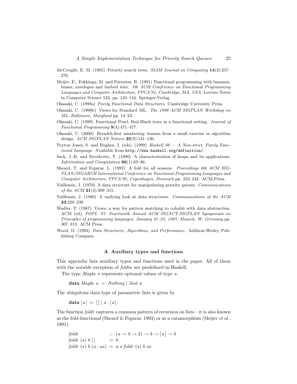McCreight, E. M. (1985) Priority search trees. SIAM Journal on Computing 14(2):257– 276.

- Meijer, E., Fokkinga, M. and Paterson, R. (1991) Functional programming with bananas, lenses, envelopes and barbed wire. 5th ACM Conference on Functional Programming Languages and Computer Architecture, FPCA'91, Cambridge, MA, USA. Lecture Notes in Computer Science 523, pp. 124–144. Springer-Verlag.
- Okasaki, C. (1998a) Purely Functional Data Structures. Cambridge University Press.
- Okasaki, C. (1998b) Views for Standard ML. The 1998 ACM SIGPLAN Workshop on ML, Baltimore, Maryland pp. 14–23.
- Okasaki, C. (1999) Functional Pearl: Red-Black trees in a functional setting. Journal of Functional Programming 9(4):471–477.
- Okasaki, C. (2000) Breadth-first numbering: lessons from a small exercise in algorithm design.  $ACM$  SIGPLAN Notices  $35(9):131-136$ .
- Peyton Jones, S. and Hughes, J. (eds). (1999) Haskell  $98 A$  Non-strict, Purely Functional Language. Available from http://www.haskell.org/definition/.
- Sack, J.-R. and Strothotte, T. (1990) A characterization of heaps and its applications. Information and Computation 86(1):69–86.
- Sheard, T. and Fegaras, L. (1993) A fold for all seasons. Proceedings 6th ACM SIG-PLAN/SIGARCH International Conference on Functional Programming Languages and Computer Architecture, FPCA'93, Copenhagen, Denmark pp. 233–242. ACM-Press.
- Vuillemin, J. (1978) A data structure for manipulating priority queues. Communications of the  $ACM$  **21**(4):309-315.
- Vuillemin, J. (1980) A unifying look at data structures. Communications of the ACM 23:229–239.
- Wadler, P. (1987) Views: a way for pattern matching to cohabit with data abstraction. ACM (ed), POPL '87. Fourteenth Annual ACM SIGACT-SIGPLAN Symposium on Principles of programming languages, January 21–23, 1987, Munich, W. Germany pp. 307–313. ACM Press.
- Wood, D. (1993) Data Structures, Algorithms, and Performance. Addison-Wesley Publishing Company.

#### A Auxiliary types and functions

This appendix lists auxiliary types and functions used in the paper. All of them with the notable exception of *foldm* are predefined in Haskell.

The type *Maybe a* represents optional values of type a.

data Maybe  $a = \text{Nothing} | \text{Just a}$ 

The ubiquitous data type of parametric lists is given by

data  $[a] = [] | a : [a]$ .

The function foldr captures a common pattern of recursion on lists—it is also known as the fold-functional (Sheard & Fegaras, 1993) or as a catamorphism (Meijer *et al.*, 1991).

*foldr* :: 
$$
(a \rightarrow b \rightarrow b) \rightarrow b \rightarrow [a] \rightarrow b
$$
  
\n*foldr* ( $\star$ ) *b* [] = *b*  
\n*foldr* ( $\star$ ) *b* (*a* : *as*) = *a*  $\star$  *foldr* ( $\star$ ) *b as*